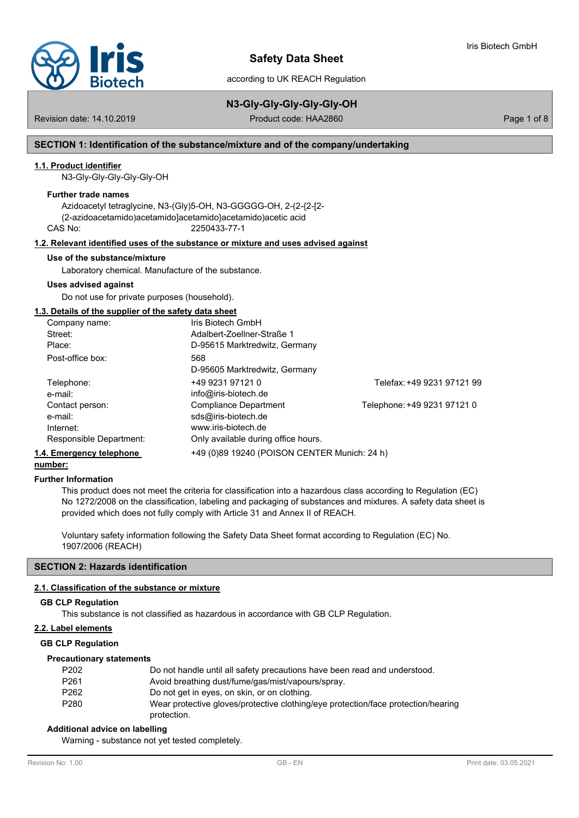

# **Safety Data Sheet**

according to UK REACH Regulation

# **N3-Gly-Gly-Gly-Gly-Gly-OH**

Revision date: 14.10.2019 **Product code: HAA2860** Product code: HAA2860

# **SECTION 1: Identification of the substance/mixture and of the company/undertaking**

# **1.1. Product identifier**

N3-Gly-Gly-Gly-Gly-Gly-OH

#### **Further trade names**

Azidoacetyl tetraglycine, N3-(Gly)5-OH, N3-GGGGG-OH, 2-(2-{2-[2- (2-azidoacetamido)acetamido]acetamido}acetamido)acetic acid CAS No: 2250433-77-1

#### **1.2. Relevant identified uses of the substance or mixture and uses advised against**

#### **Use of the substance/mixture**

Laboratory chemical. Manufacture of the substance.

#### **Uses advised against**

Do not use for private purposes (household).

#### **1.3. Details of the supplier of the safety data sheet**

| Company name:            | Iris Biotech GmbH                            |                             |
|--------------------------|----------------------------------------------|-----------------------------|
| Street:                  | Adalbert-Zoellner-Straße 1                   |                             |
| Place:                   | D-95615 Marktredwitz, Germany                |                             |
| Post-office box:         | 568                                          |                             |
|                          | D-95605 Marktredwitz, Germany                |                             |
| Telephone:               | +49 9231 97121 0                             | Telefax: +49 9231 97121 99  |
| e-mail:                  | info@iris-biotech.de                         |                             |
| Contact person:          | Compliance Department                        | Telephone: +49 9231 97121 0 |
| e-mail:                  | sds@iris-biotech.de                          |                             |
| Internet:                | www.iris-biotech.de                          |                             |
| Responsible Department:  | Only available during office hours.          |                             |
| 1.4. Emergency telephone | +49 (0)89 19240 (POISON CENTER Munich: 24 h) |                             |

# **number:**

#### **Further Information**

This product does not meet the criteria for classification into a hazardous class according to Regulation (EC) No 1272/2008 on the classification, labeling and packaging of substances and mixtures. A safety data sheet is provided which does not fully comply with Article 31 and Annex II of REACH.

Voluntary safety information following the Safety Data Sheet format according to Regulation (EC) No. 1907/2006 (REACH)

# **SECTION 2: Hazards identification**

#### **2.1. Classification of the substance or mixture**

#### **GB CLP Regulation**

This substance is not classified as hazardous in accordance with GB CLP Regulation.

### **2.2. Label elements**

#### **GB CLP Regulation**

#### **Precautionary statements**

| P <sub>202</sub> | Do not handle until all safety precautions have been read and understood.         |
|------------------|-----------------------------------------------------------------------------------|
| P <sub>261</sub> | Avoid breathing dust/fume/gas/mist/vapours/spray.                                 |
| P <sub>262</sub> | Do not get in eyes, on skin, or on clothing.                                      |
| P <sub>280</sub> | Wear protective gloves/protective clothing/eye protection/face protection/hearing |
|                  | protection.                                                                       |

#### **Additional advice on labelling**

Warning - substance not yet tested completely.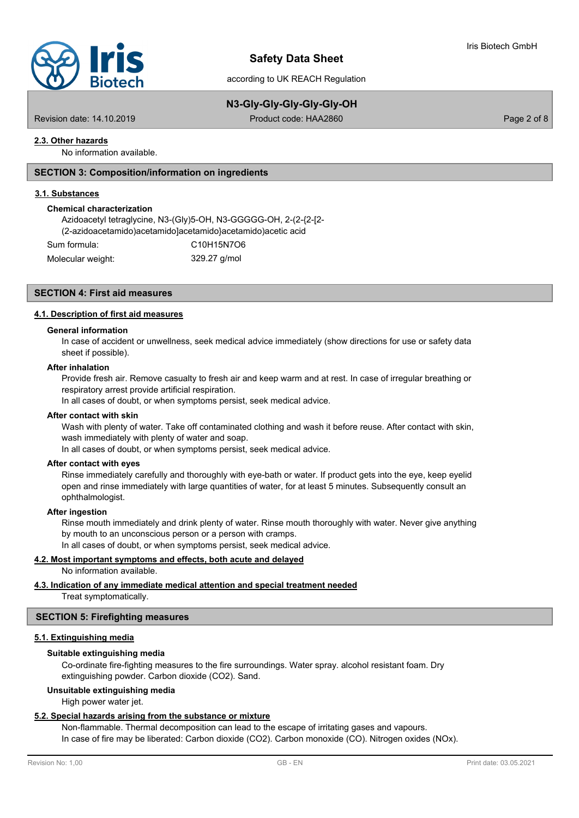

# **Safety Data Sheet**

according to UK REACH Regulation

# **N3-Gly-Gly-Gly-Gly-Gly-OH**

Revision date: 14.10.2019 Product code: HAA2860 Page 2 of 8

# **2.3. Other hazards**

No information available.

# **SECTION 3: Composition/information on ingredients**

#### **3.1. Substances**

#### **Chemical characterization**

Azidoacetyl tetraglycine, N3-(Gly)5-OH, N3-GGGGG-OH, 2-(2-{2-[2- (2-azidoacetamido)acetamido]acetamido}acetamido)acetic acid

| Sum formula:      | C10H15N7O6   |
|-------------------|--------------|
| Molecular weight: | 329.27 g/mol |

# **SECTION 4: First aid measures**

#### **4.1. Description of first aid measures**

#### **General information**

In case of accident or unwellness, seek medical advice immediately (show directions for use or safety data sheet if possible).

#### **After inhalation**

Provide fresh air. Remove casualty to fresh air and keep warm and at rest. In case of irregular breathing or respiratory arrest provide artificial respiration.

In all cases of doubt, or when symptoms persist, seek medical advice.

#### **After contact with skin**

Wash with plenty of water. Take off contaminated clothing and wash it before reuse. After contact with skin, wash immediately with plenty of water and soap.

In all cases of doubt, or when symptoms persist, seek medical advice.

#### **After contact with eyes**

Rinse immediately carefully and thoroughly with eye-bath or water. If product gets into the eye, keep eyelid open and rinse immediately with large quantities of water, for at least 5 minutes. Subsequently consult an ophthalmologist.

### **After ingestion**

Rinse mouth immediately and drink plenty of water. Rinse mouth thoroughly with water. Never give anything by mouth to an unconscious person or a person with cramps. In all cases of doubt, or when symptoms persist, seek medical advice.

#### **4.2. Most important symptoms and effects, both acute and delayed**

No information available.

#### **4.3. Indication of any immediate medical attention and special treatment needed**

Treat symptomatically.

#### **SECTION 5: Firefighting measures**

# **5.1. Extinguishing media**

#### **Suitable extinguishing media**

Co-ordinate fire-fighting measures to the fire surroundings. Water spray. alcohol resistant foam. Dry extinguishing powder. Carbon dioxide (CO2). Sand.

#### **Unsuitable extinguishing media**

High power water jet.

#### **5.2. Special hazards arising from the substance or mixture**

Non-flammable. Thermal decomposition can lead to the escape of irritating gases and vapours. In case of fire may be liberated: Carbon dioxide (CO2). Carbon monoxide (CO). Nitrogen oxides (NOx).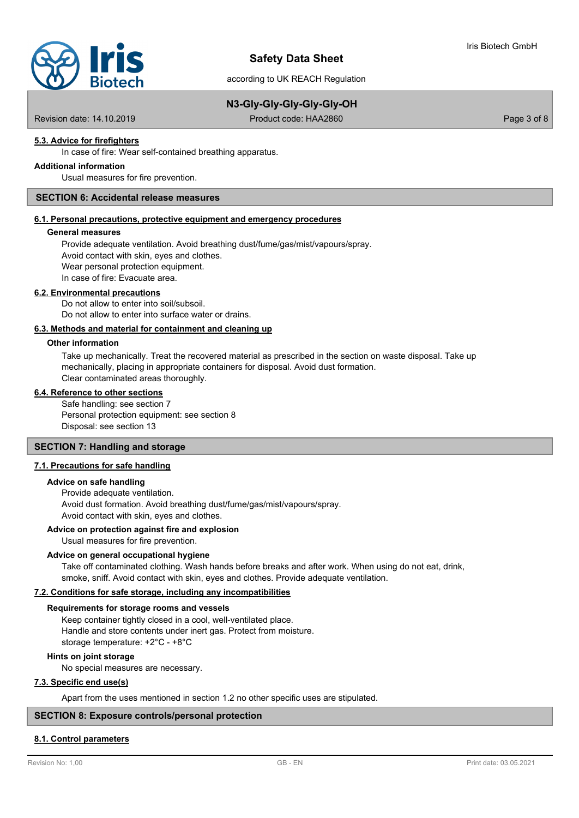

# **N3-Gly-Gly-Gly-Gly-Gly-OH**

Revision date: 14.10.2019 Product code: HAA2860 Page 3 of 8

# **5.3. Advice for firefighters**

In case of fire: Wear self-contained breathing apparatus.

# **Additional information**

Usual measures for fire prevention.

# **SECTION 6: Accidental release measures**

### **6.1. Personal precautions, protective equipment and emergency procedures**

#### **General measures**

Provide adequate ventilation. Avoid breathing dust/fume/gas/mist/vapours/spray. Avoid contact with skin, eyes and clothes. Wear personal protection equipment. In case of fire: Evacuate area.

#### **6.2. Environmental precautions**

Do not allow to enter into soil/subsoil. Do not allow to enter into surface water or drains.

#### **6.3. Methods and material for containment and cleaning up**

#### **Other information**

Take up mechanically. Treat the recovered material as prescribed in the section on waste disposal. Take up mechanically, placing in appropriate containers for disposal. Avoid dust formation. Clear contaminated areas thoroughly.

#### **6.4. Reference to other sections**

Safe handling: see section 7 Personal protection equipment: see section 8 Disposal: see section 13

# **SECTION 7: Handling and storage**

## **7.1. Precautions for safe handling**

#### **Advice on safe handling**

Provide adequate ventilation. Avoid dust formation. Avoid breathing dust/fume/gas/mist/vapours/spray. Avoid contact with skin, eyes and clothes.

#### **Advice on protection against fire and explosion**

Usual measures for fire prevention.

# **Advice on general occupational hygiene**

Take off contaminated clothing. Wash hands before breaks and after work. When using do not eat, drink, smoke, sniff. Avoid contact with skin, eyes and clothes. Provide adequate ventilation.

# **7.2. Conditions for safe storage, including any incompatibilities**

#### **Requirements for storage rooms and vessels**

Keep container tightly closed in a cool, well-ventilated place. Handle and store contents under inert gas. Protect from moisture. storage temperature: +2°C - +8°C

#### **Hints on joint storage**

No special measures are necessary.

### **7.3. Specific end use(s)**

Apart from the uses mentioned in section 1.2 no other specific uses are stipulated.

### **SECTION 8: Exposure controls/personal protection**

### **8.1. Control parameters**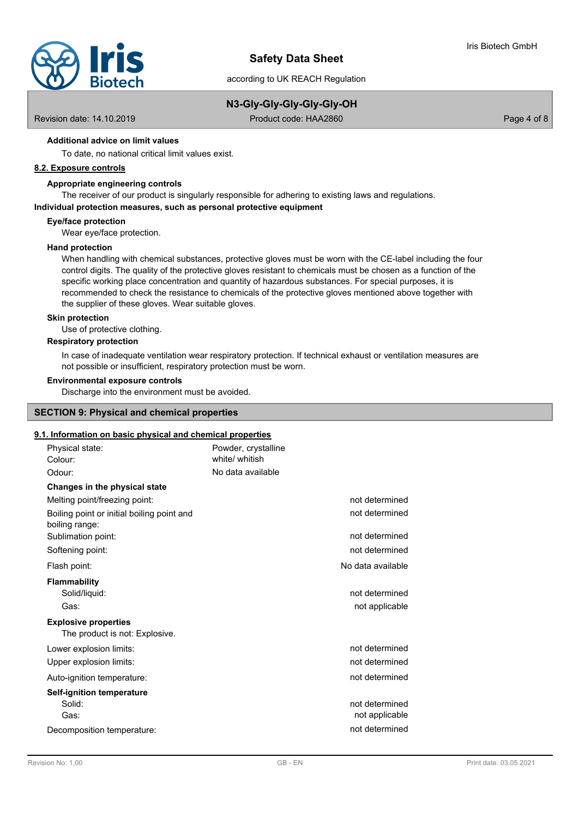

# **N3-Gly-Gly-Gly-Gly-Gly-OH**

Revision date: 14.10.2019 Product code: HAA2860 Page 4 of 8

# **Additional advice on limit values**

To date, no national critical limit values exist.

# **8.2. Exposure controls**

### **Appropriate engineering controls**

The receiver of our product is singularly responsible for adhering to existing laws and regulations.

#### **Individual protection measures, such as personal protective equipment**

#### **Eye/face protection**

Wear eye/face protection.

# **Hand protection**

When handling with chemical substances, protective gloves must be worn with the CE-label including the four control digits. The quality of the protective gloves resistant to chemicals must be chosen as a function of the specific working place concentration and quantity of hazardous substances. For special purposes, it is recommended to check the resistance to chemicals of the protective gloves mentioned above together with the supplier of these gloves. Wear suitable gloves.

# **Skin protection**

Use of protective clothing.

### **Respiratory protection**

In case of inadequate ventilation wear respiratory protection. If technical exhaust or ventilation measures are not possible or insufficient, respiratory protection must be worn.

#### **Environmental exposure controls**

Discharge into the environment must be avoided.

# **SECTION 9: Physical and chemical properties**

# **9.1. Information on basic physical and chemical properties**

| Physical state:<br>Colour:                                    | Powder, crystalline<br>white/ whitish |                                  |
|---------------------------------------------------------------|---------------------------------------|----------------------------------|
| Odour:                                                        | No data available                     |                                  |
| Changes in the physical state                                 |                                       |                                  |
| Melting point/freezing point:                                 |                                       | not determined                   |
| Boiling point or initial boiling point and<br>boiling range:  |                                       | not determined                   |
| Sublimation point:                                            |                                       | not determined                   |
| Softening point:                                              |                                       | not determined                   |
| Flash point:                                                  |                                       | No data available                |
| <b>Flammability</b>                                           |                                       |                                  |
| Solid/liquid:                                                 |                                       | not determined                   |
| Gas:                                                          |                                       | not applicable                   |
| <b>Explosive properties</b><br>The product is not: Explosive. |                                       |                                  |
| Lower explosion limits:                                       |                                       | not determined                   |
| Upper explosion limits:                                       |                                       | not determined                   |
| Auto-ignition temperature:                                    |                                       | not determined                   |
| <b>Self-ignition temperature</b>                              |                                       |                                  |
| Solid:<br>Gas:                                                |                                       | not determined<br>not applicable |
| Decomposition temperature:                                    |                                       | not determined                   |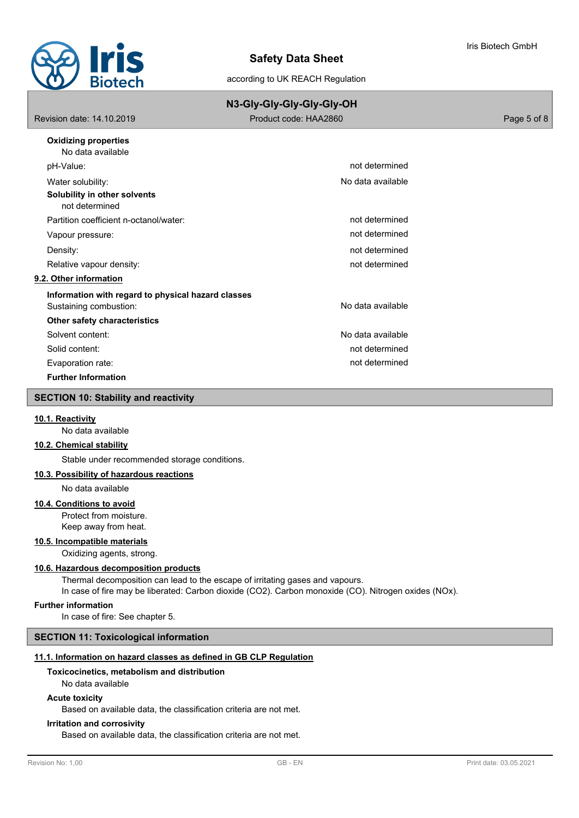

|                                                    | N3-Gly-Gly-Gly-Gly-Gly-OH |             |
|----------------------------------------------------|---------------------------|-------------|
| Revision date: 14.10.2019                          | Product code: HAA2860     | Page 5 of 8 |
| <b>Oxidizing properties</b><br>No data available   |                           |             |
| pH-Value:                                          | not determined            |             |
| Water solubility:                                  | No data available         |             |
| Solubility in other solvents<br>not determined     |                           |             |
| Partition coefficient n-octanol/water:             | not determined            |             |
| Vapour pressure:                                   | not determined            |             |
| Density:                                           | not determined            |             |
| Relative vapour density:                           | not determined            |             |
| 9.2. Other information                             |                           |             |
| Information with regard to physical hazard classes |                           |             |
| Sustaining combustion:                             | No data available         |             |
| Other safety characteristics                       |                           |             |
| Solvent content:                                   | No data available         |             |
| Solid content:                                     | not determined            |             |
| Evaporation rate:                                  | not determined            |             |
| <b>Further Information</b>                         |                           |             |
| <b>SECTION 10: Stability and reactivity</b>        |                           |             |

#### **10.1. Reactivity**

No data available

#### **10.2. Chemical stability**

Stable under recommended storage conditions.

#### **10.3. Possibility of hazardous reactions**

No data available

#### **10.4. Conditions to avoid**

Protect from moisture. Keep away from heat.

## **10.5. Incompatible materials**

Oxidizing agents, strong.

# **10.6. Hazardous decomposition products**

Thermal decomposition can lead to the escape of irritating gases and vapours. In case of fire may be liberated: Carbon dioxide (CO2). Carbon monoxide (CO). Nitrogen oxides (NOx).

# **Further information**

In case of fire: See chapter 5.

# **SECTION 11: Toxicological information**

# **11.1. Information on hazard classes as defined in GB CLP Regulation**

# **Toxicocinetics, metabolism and distribution**

No data available

# **Acute toxicity**

Based on available data, the classification criteria are not met.

# **Irritation and corrosivity**

Based on available data, the classification criteria are not met.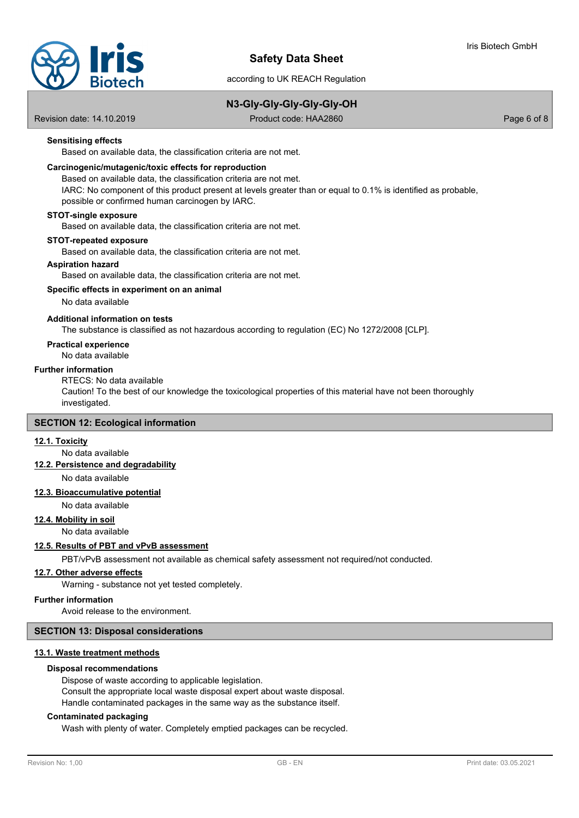

# **N3-Gly-Gly-Gly-Gly-Gly-OH**

Revision date: 14.10.2019 Product code: HAA2860 Page 6 of 8

# **Sensitising effects**

Based on available data, the classification criteria are not met.

#### **Carcinogenic/mutagenic/toxic effects for reproduction**

Based on available data, the classification criteria are not met. IARC: No component of this product present at levels greater than or equal to 0.1% is identified as probable, possible or confirmed human carcinogen by IARC.

#### **STOT-single exposure**

Based on available data, the classification criteria are not met.

#### **STOT-repeated exposure**

Based on available data, the classification criteria are not met.

#### **Aspiration hazard**

Based on available data, the classification criteria are not met.

### **Specific effects in experiment on an animal**

#### No data available

#### **Additional information on tests**

The substance is classified as not hazardous according to regulation (EC) No 1272/2008 [CLP].

# **Practical experience**

No data available

#### **Further information**

RTECS: No data available

Caution! To the best of our knowledge the toxicological properties of this material have not been thoroughly investigated.

# **SECTION 12: Ecological information**

# **12.1. Toxicity**

No data available

**12.2. Persistence and degradability**

No data available

# **12.3. Bioaccumulative potential**

No data available

# **12.4. Mobility in soil**

No data available

#### **12.5. Results of PBT and vPvB assessment**

PBT/vPvB assessment not available as chemical safety assessment not required/not conducted.

### **12.7. Other adverse effects**

Warning - substance not yet tested completely.

#### **Further information**

Avoid release to the environment.

#### **SECTION 13: Disposal considerations**

#### **13.1. Waste treatment methods**

#### **Disposal recommendations**

Dispose of waste according to applicable legislation. Consult the appropriate local waste disposal expert about waste disposal. Handle contaminated packages in the same way as the substance itself.

#### **Contaminated packaging**

Wash with plenty of water. Completely emptied packages can be recycled.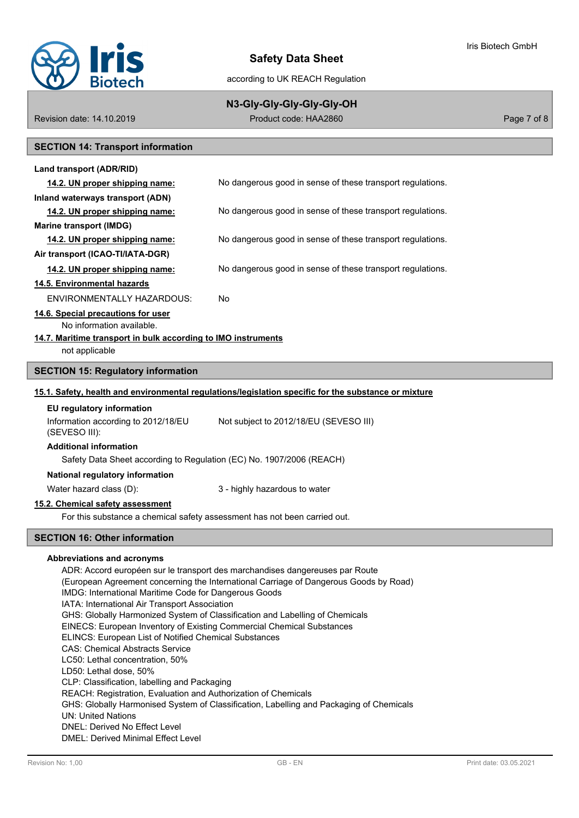

# **Safety Data Sheet**

according to UK REACH Regulation

# **N3-Gly-Gly-Gly-Gly-Gly-OH**

Revision date: 14.10.2019 Product code: HAA2860 Page 7 of 8

# **SECTION 14: Transport information**

| Land transport (ADR/RID)           |                                                            |
|------------------------------------|------------------------------------------------------------|
| 14.2. UN proper shipping name:     | No dangerous good in sense of these transport regulations. |
| Inland waterways transport (ADN)   |                                                            |
| 14.2. UN proper shipping name:     | No dangerous good in sense of these transport regulations. |
| Marine transport (IMDG)            |                                                            |
| 14.2. UN proper shipping name:     | No dangerous good in sense of these transport regulations. |
| Air transport (ICAO-TI/IATA-DGR)   |                                                            |
| 14.2. UN proper shipping name:     | No dangerous good in sense of these transport regulations. |
| 14.5. Environmental hazards        |                                                            |
| ENVIRONMENTALLY HAZARDOUS:         | No                                                         |
| 14.6. Special precautions for user |                                                            |
| No information available.          |                                                            |
|                                    |                                                            |

### **14.7. Maritime transport in bulk according to IMO instruments**

not applicable

# **SECTION 15: Regulatory information**

#### **15.1. Safety, health and environmental regulations/legislation specific for the substance or mixture**

# **EU regulatory information**

Information according to 2012/18/EU Not subject to 2012/18/EU (SEVESO III)

(SEVESO III):

# **Additional information**

Safety Data Sheet according to Regulation (EC) No. 1907/2006 (REACH)

**National regulatory information**

Water hazard class (D):  $\qquad \qquad$  3 - highly hazardous to water

#### **15.2. Chemical safety assessment**

For this substance a chemical safety assessment has not been carried out.

# **SECTION 16: Other information**

#### **Abbreviations and acronyms**

ADR: Accord européen sur le transport des marchandises dangereuses par Route (European Agreement concerning the International Carriage of Dangerous Goods by Road) IMDG: International Maritime Code for Dangerous Goods IATA: International Air Transport Association GHS: Globally Harmonized System of Classification and Labelling of Chemicals EINECS: European Inventory of Existing Commercial Chemical Substances ELINCS: European List of Notified Chemical Substances CAS: Chemical Abstracts Service LC50: Lethal concentration, 50% LD50: Lethal dose, 50% CLP: Classification, labelling and Packaging REACH: Registration, Evaluation and Authorization of Chemicals GHS: Globally Harmonised System of Classification, Labelling and Packaging of Chemicals UN: United Nations DNEL: Derived No Effect Level DMEL: Derived Minimal Effect Level